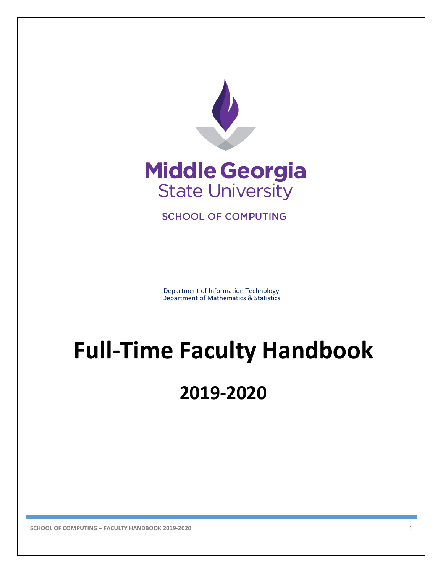



**SCHOOL OF COMPUTING** 

Department of Information Technology Department of Mathematics & Statistics

# **Full-Time Faculty Handbook**

# **2019-2020**

**SCHOOL OF COMPUTING – FACULTY HANDBOOK 2019-2020** 1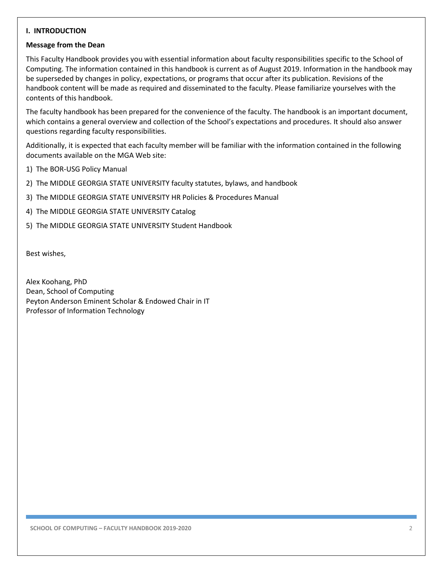#### **I. INTRODUCTION**

#### **Message from the Dean**

This Faculty Handbook provides you with essential information about faculty responsibilities specific to the School of Computing. The information contained in this handbook is current as of August 2019. Information in the handbook may be superseded by changes in policy, expectations, or programs that occur after its publication. Revisions of the handbook content will be made as required and disseminated to the faculty. Please familiarize yourselves with the contents of this handbook.

The faculty handbook has been prepared for the convenience of the faculty. The handbook is an important document, which contains a general overview and collection of the School's expectations and procedures. It should also answer questions regarding faculty responsibilities.

Additionally, it is expected that each faculty member will be familiar with the information contained in the following documents available on the MGA Web site:

- 1) The BOR-USG Policy Manual
- 2) The MIDDLE GEORGIA STATE UNIVERSITY faculty statutes, bylaws, and handbook
- 3) The MIDDLE GEORGIA STATE UNIVERSITY HR Policies & Procedures Manual
- 4) The MIDDLE GEORGIA STATE UNIVERSITY Catalog
- 5) The MIDDLE GEORGIA STATE UNIVERSITY Student Handbook

Best wishes,

Alex Koohang, PhD Dean, School of Computing Peyton Anderson Eminent Scholar & Endowed Chair in IT Professor of Information Technology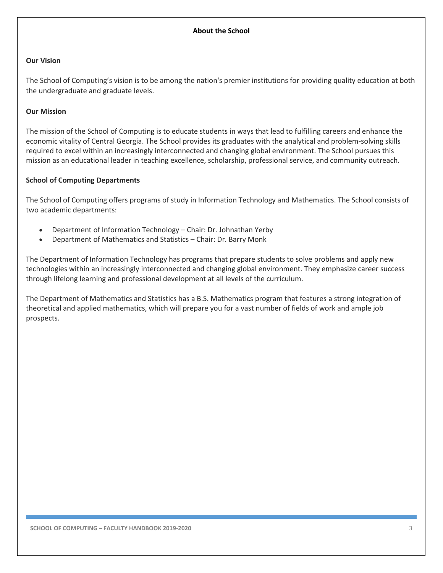# **Our Vision**

The School of Computing's vision is to be among the nation's premier institutions for providing quality education at both the undergraduate and graduate levels.

# **Our Mission**

The mission of the School of Computing is to educate students in ways that lead to fulfilling careers and enhance the economic vitality of Central Georgia. The School provides its graduates with the analytical and problem-solving skills required to excel within an increasingly interconnected and changing global environment. The School pursues this mission as an educational leader in teaching excellence, scholarship, professional service, and community outreach.

# **School of Computing Departments**

The School of Computing offers programs of study in Information Technology and Mathematics. The School consists of two academic departments:

- Department of Information Technology Chair: Dr. Johnathan Yerby
- Department of Mathematics and Statistics Chair: Dr. Barry Monk

The Department of Information Technology has programs that prepare students to solve problems and apply new technologies within an increasingly interconnected and changing global environment. They emphasize career success through lifelong learning and professional development at all levels of the curriculum.

The Department of Mathematics and Statistics has a B.S. Mathematics program that features a strong integration of theoretical and applied mathematics, which will prepare you for a vast number of fields of work and ample job prospects.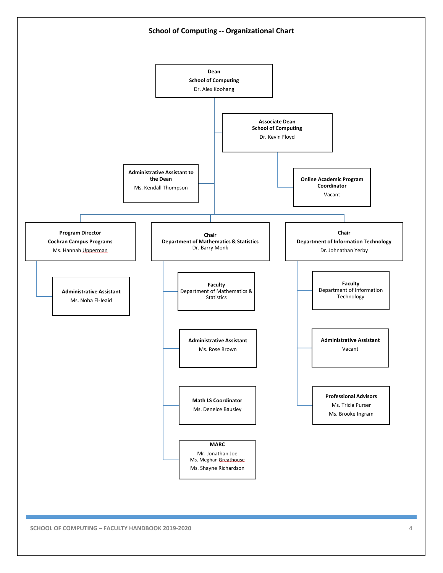

**SCHOOL OF COMPUTING – FACULTY HANDBOOK 2019-2020** 4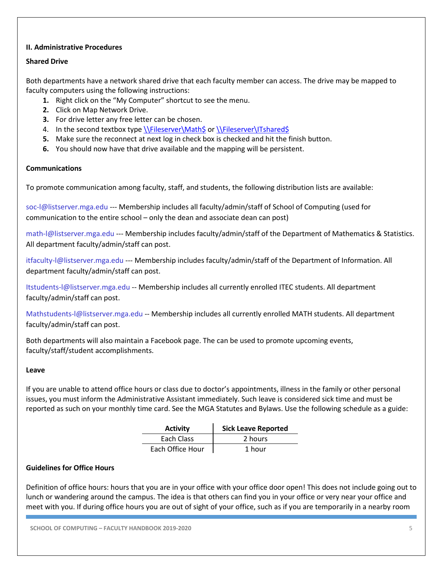# **II. Administrative Procedures**

#### **Shared Drive**

Both departments have a network shared drive that each faculty member can access. The drive may be mapped to faculty computers using the following instructions:

- **1.** Right click on the "My Computer" shortcut to see the menu.
- **2.** Click on Map Network Drive.
- **3.** For drive letter any free letter can be chosen.
- 4. In the second textbox typ[e \\Fileserver\Math\\$](file://Fileserver/Math$) or \\Fileserver\ITshared\$
- **5.** Make sure the reconnect at next log in check box is checked and hit the finish button.
- **6.** You should now have that drive available and the mapping will be persistent.

#### **Communications**

To promote communication among faculty, staff, and students, the following distribution lists are available:

soc-l@listserver.mga.edu --- Membership includes all faculty/admin/staff of School of Computing (used for communication to the entire school – only the dean and associate dean can post)

math-l@listserver.mga.edu --- Membership includes faculty/admin/staff of the Department of Mathematics & Statistics. All department faculty/admin/staff can post.

itfaculty-l@listserver.mga.edu --- Membership includes faculty/admin/staff of the Department of Information. All department faculty/admin/staff can post.

Itstudents-l@listserver.mga.edu -- Membership includes all currently enrolled ITEC students. All department faculty/admin/staff can post.

Mathstudents-l@listserver.mga.edu -- Membership includes all currently enrolled MATH students. All department faculty/admin/staff can post.

Both departments will also maintain a Facebook page. The can be used to promote upcoming events, faculty/staff/student accomplishments.

#### **Leave**

If you are unable to attend office hours or class due to doctor's appointments, illness in the family or other personal issues, you must inform the Administrative Assistant immediately. Such leave is considered sick time and must be reported as such on your monthly time card. See the MGA Statutes and Bylaws. Use the following schedule as a guide:

| <b>Activity</b>  | <b>Sick Leave Reported</b> |
|------------------|----------------------------|
| Each Class       | 2 hours                    |
| Each Office Hour | 1 hour                     |

#### **Guidelines for Office Hours**

Definition of office hours: hours that you are in your office with your office door open! This does not include going out to lunch or wandering around the campus. The idea is that others can find you in your office or very near your office and meet with you. If during office hours you are out of sight of your office, such as if you are temporarily in a nearby room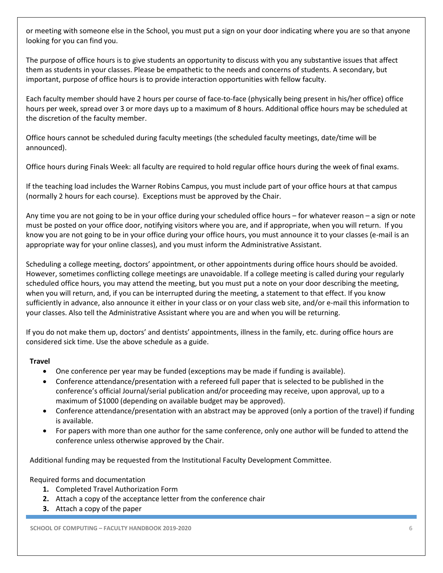or meeting with someone else in the School, you must put a sign on your door indicating where you are so that anyone looking for you can find you.

The purpose of office hours is to give students an opportunity to discuss with you any substantive issues that affect them as students in your classes. Please be empathetic to the needs and concerns of students. A secondary, but important, purpose of office hours is to provide interaction opportunities with fellow faculty.

Each faculty member should have 2 hours per course of face-to-face (physically being present in his/her office) office hours per week, spread over 3 or more days up to a maximum of 8 hours. Additional office hours may be scheduled at the discretion of the faculty member.

Office hours cannot be scheduled during faculty meetings (the scheduled faculty meetings, date/time will be announced).

Office hours during Finals Week: all faculty are required to hold regular office hours during the week of final exams.

If the teaching load includes the Warner Robins Campus, you must include part of your office hours at that campus (normally 2 hours for each course). Exceptions must be approved by the Chair.

Any time you are not going to be in your office during your scheduled office hours – for whatever reason – a sign or note must be posted on your office door, notifying visitors where you are, and if appropriate, when you will return. If you know you are not going to be in your office during your office hours, you must announce it to your classes (e-mail is an appropriate way for your online classes), and you must inform the Administrative Assistant.

Scheduling a college meeting, doctors' appointment, or other appointments during office hours should be avoided. However, sometimes conflicting college meetings are unavoidable. If a college meeting is called during your regularly scheduled office hours, you may attend the meeting, but you must put a note on your door describing the meeting, when you will return, and, if you can be interrupted during the meeting, a statement to that effect. If you know sufficiently in advance, also announce it either in your class or on your class web site, and/or e-mail this information to your classes. Also tell the Administrative Assistant where you are and when you will be returning.

If you do not make them up, doctors' and dentists' appointments, illness in the family, etc. during office hours are considered sick time. Use the above schedule as a guide.

# **Travel**

- One conference per year may be funded (exceptions may be made if funding is available).
- Conference attendance/presentation with a refereed full paper that is selected to be published in the conference's official Journal/serial publication and/or proceeding may receive, upon approval, up to a maximum of \$1000 (depending on available budget may be approved).
- Conference attendance/presentation with an abstract may be approved (only a portion of the travel) if funding is available.
- For papers with more than one author for the same conference, only one author will be funded to attend the conference unless otherwise approved by the Chair.

Additional funding may be requested from the Institutional Faculty Development Committee.

Required forms and documentation

- **1.** Completed Travel Authorization Form
- **2.** Attach a copy of the acceptance letter from the conference chair
- **3.** Attach a copy of the paper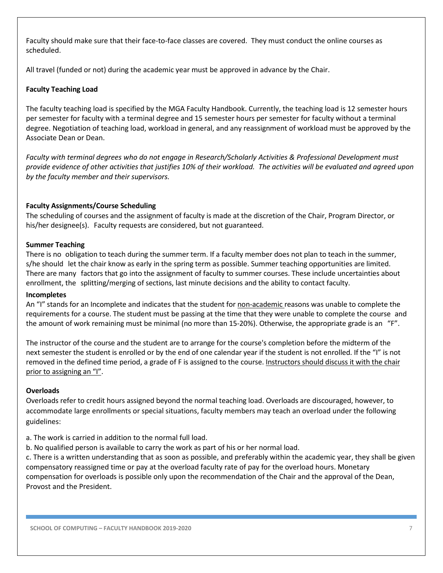Faculty should make sure that their face-to-face classes are covered. They must conduct the online courses as scheduled.

All travel (funded or not) during the academic year must be approved in advance by the Chair.

# **Faculty Teaching Load**

The faculty teaching load is specified by the MGA Faculty Handbook. Currently, the teaching load is 12 semester hours per semester for faculty with a terminal degree and 15 semester hours per semester for faculty without a terminal degree. Negotiation of teaching load, workload in general, and any reassignment of workload must be approved by the Associate Dean or Dean.

*Faculty with terminal degrees who do not engage in Research/Scholarly Activities & Professional Development must provide evidence of other activities that justifies 10% of their workload. The activities will be evaluated and agreed upon by the faculty member and their supervisors.*

# **Faculty Assignments/Course Scheduling**

The scheduling of courses and the assignment of faculty is made at the discretion of the Chair, Program Director, or his/her designee(s). Faculty requests are considered, but not guaranteed.

#### **Summer Teaching**

There is no obligation to teach during the summer term. If a faculty member does not plan to teach in the summer, s/he should let the chair know as early in the spring term as possible. Summer teaching opportunities are limited. There are many factors that go into the assignment of faculty to summer courses. These include uncertainties about enrollment, the splitting/merging of sections, last minute decisions and the ability to contact faculty.

#### **Incompletes**

An "I" stands for an Incomplete and indicates that the student for non-academic reasons was unable to complete the requirements for a course. The student must be passing at the time that they were unable to complete the course and the amount of work remaining must be minimal (no more than 15-20%). Otherwise, the appropriate grade is an "F".

The instructor of the course and the student are to arrange for the course's completion before the midterm of the next semester the student is enrolled or by the end of one calendar year if the student is not enrolled. If the "I" is not removed in the defined time period, a grade of F is assigned to the course. Instructors should discuss it with the chair prior to assigning an "I".

#### **Overloads**

Overloads refer to credit hours assigned beyond the normal teaching load. Overloads are discouraged, however, to accommodate large enrollments or special situations, faculty members may teach an overload under the following guidelines:

- a. The work is carried in addition to the normal full load.
- b. No qualified person is available to carry the work as part of his or her normal load.

c. There is a written understanding that as soon as possible, and preferably within the academic year, they shall be given compensatory reassigned time or pay at the overload faculty rate of pay for the overload hours. Monetary compensation for overloads is possible only upon the recommendation of the Chair and the approval of the Dean, Provost and the President.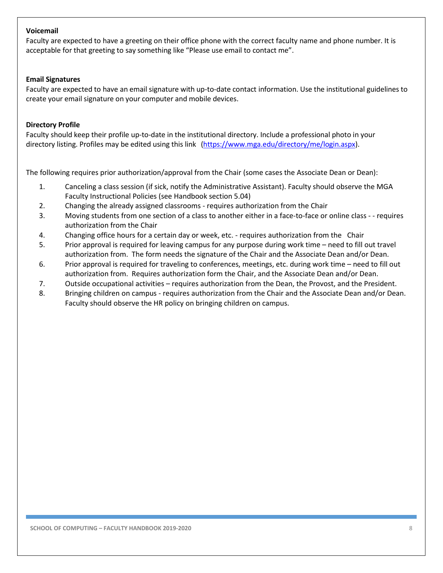#### **Voicemail**

Faculty are expected to have a greeting on their office phone with the correct faculty name and phone number. It is acceptable for that greeting to say something like "Please use email to contact me".

#### **Email Signatures**

Faculty are expected to have an email signature with up-to-date contact information. Use the institutional guidelines to create your email signature on your computer and mobile devices.

#### **Directory Profile**

Faculty should keep their profile up-to-date in the institutional directory. Include a professional photo in your directory listing. Profiles may be edited using this link [\(https://www.mga.edu/directory/me/login.aspx\)](https://www.mga.edu/directory/me/login.aspx).

The following requires prior authorization/approval from the Chair (some cases the Associate Dean or Dean):

- 1. Canceling a class session (if sick, notify the Administrative Assistant). Faculty should observe the MGA Faculty Instructional Policies (see Handbook section 5.04)
- 2. Changing the already assigned classrooms requires authorization from the Chair
- 3. Moving students from one section of a class to another either in a face-to-face or online class - requires authorization from the Chair
- 4. Changing office hours for a certain day or week, etc. requires authorization from the Chair
- 5. Prior approval is required for leaving campus for any purpose during work time need to fill out travel authorization from. The form needs the signature of the Chair and the Associate Dean and/or Dean.
- 6. Prior approval is required for traveling to conferences, meetings, etc. during work time need to fill out authorization from. Requires authorization form the Chair, and the Associate Dean and/or Dean.
- 7. Outside occupational activities requires authorization from the Dean, the Provost, and the President.
- 8. Bringing children on campus requires authorization from the Chair and the Associate Dean and/or Dean. Faculty should observe the HR policy on bringing children on campus.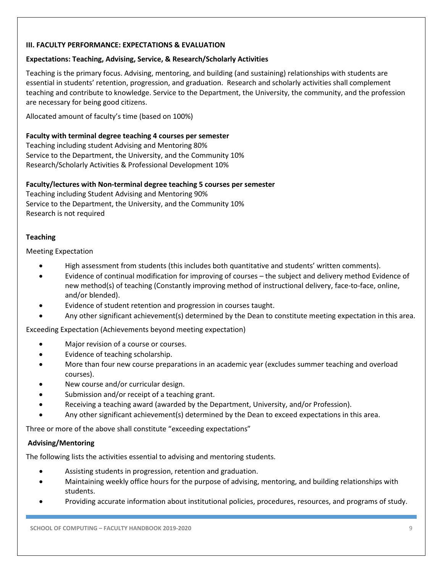# **III. FACULTY PERFORMANCE: EXPECTATIONS & EVALUATION**

#### **Expectations: Teaching, Advising, Service, & Research/Scholarly Activities**

Teaching is the primary focus. Advising, mentoring, and building (and sustaining) relationships with students are essential in students' retention, progression, and graduation. Research and scholarly activities shall complement teaching and contribute to knowledge. Service to the Department, the University, the community, and the profession are necessary for being good citizens.

Allocated amount of faculty's time (based on 100%)

#### **Faculty with terminal degree teaching 4 courses per semester**

Teaching including student Advising and Mentoring 80% Service to the Department, the University, and the Community 10% Research/Scholarly Activities & Professional Development 10%

#### **Faculty/lectures with Non-terminal degree teaching 5 courses per semester**

Teaching including Student Advising and Mentoring 90% Service to the Department, the University, and the Community 10% Research is not required

# **Teaching**

#### Meeting Expectation

- High assessment from students (this includes both quantitative and students' written comments).
- Evidence of continual modification for improving of courses the subject and delivery method Evidence of new method(s) of teaching (Constantly improving method of instructional delivery, face-to-face, online, and/or blended).
- Evidence of student retention and progression in courses taught.
- Any other significant achievement(s) determined by the Dean to constitute meeting expectation in this area.

Exceeding Expectation (Achievements beyond meeting expectation)

- Major revision of a course or courses.
- Evidence of teaching scholarship.
- More than four new course preparations in an academic year (excludes summer teaching and overload courses).
- New course and/or curricular design.
- Submission and/or receipt of a teaching grant.
- Receiving a teaching award (awarded by the Department, University, and/or Profession).
- Any other significant achievement(s) determined by the Dean to exceed expectations in this area.

Three or more of the above shall constitute "exceeding expectations"

#### **Advising/Mentoring**

The following lists the activities essential to advising and mentoring students.

- Assisting students in progression, retention and graduation.
- Maintaining weekly office hours for the purpose of advising, mentoring, and building relationships with students.
- Providing accurate information about institutional policies, procedures, resources, and programs of study.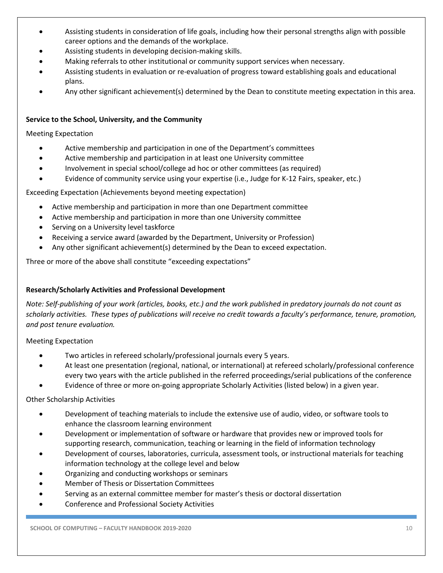- Assisting students in consideration of life goals, including how their personal strengths align with possible career options and the demands of the workplace.
- Assisting students in developing decision-making skills.
- Making referrals to other institutional or community support services when necessary.
- Assisting students in evaluation or re-evaluation of progress toward establishing goals and educational plans.
- Any other significant achievement(s) determined by the Dean to constitute meeting expectation in this area.

# **Service to the School, University, and the Community**

# Meeting Expectation

- Active membership and participation in one of the Department's committees
- Active membership and participation in at least one University committee
- Involvement in special school/college ad hoc or other committees (as required)
- Evidence of community service using your expertise (i.e., Judge for K-12 Fairs, speaker, etc.)

Exceeding Expectation (Achievements beyond meeting expectation)

- Active membership and participation in more than one Department committee
- Active membership and participation in more than one University committee
- Serving on a University level taskforce
- Receiving a service award (awarded by the Department, University or Profession)
- Any other significant achievement(s) determined by the Dean to exceed expectation.

Three or more of the above shall constitute "exceeding expectations"

# **Research/Scholarly Activities and Professional Development**

*Note: Self-publishing of your work (articles, books, etc.) and the work published in predatory journals do not count as scholarly activities. These types of publications will receive no credit towards a faculty's performance, tenure, promotion, and post tenure evaluation.* 

Meeting Expectation

- Two articles in refereed scholarly/professional journals every 5 years.
- At least one presentation (regional, national, or international) at refereed scholarly/professional conference every two years with the article published in the referred proceedings/serial publications of the conference
- Evidence of three or more on-going appropriate Scholarly Activities (listed below) in a given year.

Other Scholarship Activities

- Development of teaching materials to include the extensive use of audio, video, or software tools to enhance the classroom learning environment
- Development or implementation of software or hardware that provides new or improved tools for supporting research, communication, teaching or learning in the field of information technology
- Development of courses, laboratories, curricula, assessment tools, or instructional materials for teaching information technology at the college level and below
- Organizing and conducting workshops or seminars
- Member of Thesis or Dissertation Committees
- Serving as an external committee member for master's thesis or doctoral dissertation
- Conference and Professional Society Activities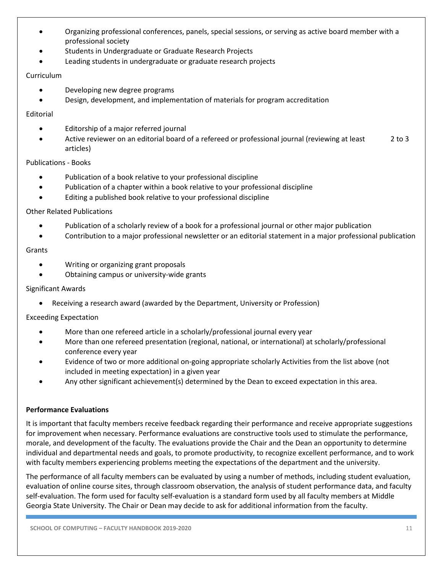- Organizing professional conferences, panels, special sessions, or serving as active board member with a professional society
- Students in Undergraduate or Graduate Research Projects
- Leading students in undergraduate or graduate research projects

# Curriculum

- Developing new degree programs
- Design, development, and implementation of materials for program accreditation

# Editorial

- Editorship of a major referred journal
- Active reviewer on an editorial board of a refereed or professional journal (reviewing at least 2 to 3 articles)

#### Publications - Books

- Publication of a book relative to your professional discipline
- Publication of a chapter within a book relative to your professional discipline
- Editing a published book relative to your professional discipline

# Other Related Publications

- Publication of a scholarly review of a book for a professional journal or other major publication
- Contribution to a major professional newsletter or an editorial statement in a major professional publication

#### Grants

- Writing or organizing grant proposals
- Obtaining campus or university-wide grants

#### Significant Awards

• Receiving a research award (awarded by the Department, University or Profession)

#### Exceeding Expectation

- More than one refereed article in a scholarly/professional journal every year
- More than one refereed presentation (regional, national, or international) at scholarly/professional conference every year
- Evidence of two or more additional on-going appropriate scholarly Activities from the list above (not included in meeting expectation) in a given year
- Any other significant achievement(s) determined by the Dean to exceed expectation in this area.

# **Performance Evaluations**

It is important that faculty members receive feedback regarding their performance and receive appropriate suggestions for improvement when necessary. Performance evaluations are constructive tools used to stimulate the performance, morale, and development of the faculty. The evaluations provide the Chair and the Dean an opportunity to determine individual and departmental needs and goals, to promote productivity, to recognize excellent performance, and to work with faculty members experiencing problems meeting the expectations of the department and the university.

The performance of all faculty members can be evaluated by using a number of methods, including student evaluation, evaluation of online course sites, through classroom observation, the analysis of student performance data, and faculty self-evaluation. The form used for faculty self-evaluation is a standard form used by all faculty members at Middle Georgia State University. The Chair or Dean may decide to ask for additional information from the faculty.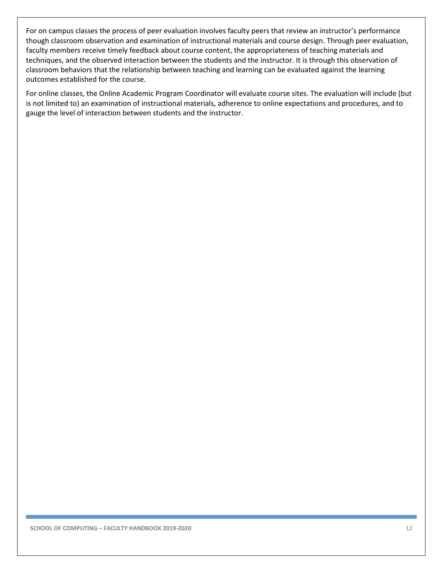For on campus classes the process of peer evaluation involves faculty peers that review an instructor's performance though classroom observation and examination of instructional materials and course design. Through peer evaluation, faculty members receive timely feedback about course content, the appropriateness of teaching materials and techniques, and the observed interaction between the students and the instructor. It is through this observation of classroom behaviors that the relationship between teaching and learning can be evaluated against the learning outcomes established for the course.

For online classes, the Online Academic Program Coordinator will evaluate course sites. The evaluation will include (but is not limited to) an examination of instructional materials, adherence to online expectations and procedures, and to gauge the level of interaction between students and the instructor.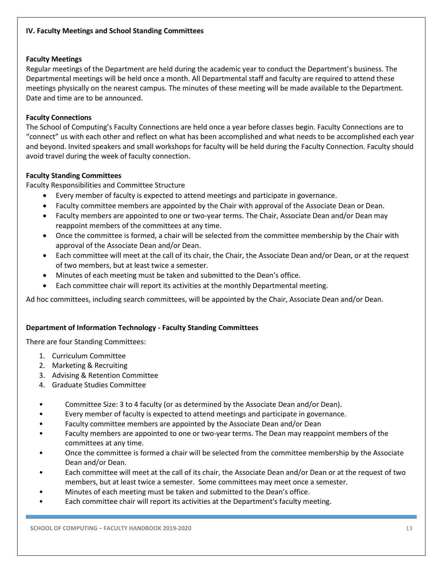# **Faculty Meetings**

Regular meetings of the Department are held during the academic year to conduct the Department's business. The Departmental meetings will be held once a month. All Departmental staff and faculty are required to attend these meetings physically on the nearest campus. The minutes of these meeting will be made available to the Department. Date and time are to be announced.

# **Faculty Connections**

The School of Computing's Faculty Connections are held once a year before classes begin. Faculty Connections are to "connect" us with each other and reflect on what has been accomplished and what needs to be accomplished each year and beyond. Invited speakers and small workshops for faculty will be held during the Faculty Connection. Faculty should avoid travel during the week of faculty connection.

# **Faculty Standing Committees**

Faculty Responsibilities and Committee Structure

- Every member of faculty is expected to attend meetings and participate in governance.
- Faculty committee members are appointed by the Chair with approval of the Associate Dean or Dean.
- Faculty members are appointed to one or two-year terms. The Chair, Associate Dean and/or Dean may reappoint members of the committees at any time.
- Once the committee is formed, a chair will be selected from the committee membership by the Chair with approval of the Associate Dean and/or Dean.
- Each committee will meet at the call of its chair, the Chair, the Associate Dean and/or Dean, or at the request of two members, but at least twice a semester.
- Minutes of each meeting must be taken and submitted to the Dean's office.
- Each committee chair will report its activities at the monthly Departmental meeting.

Ad hoc committees, including search committees, will be appointed by the Chair, Associate Dean and/or Dean.

# **Department of Information Technology - Faculty Standing Committees**

There are four Standing Committees:

- 1. Curriculum Committee
- 2. Marketing & Recruiting
- 3. Advising & Retention Committee
- 4. Graduate Studies Committee
- Committee Size: 3 to 4 faculty (or as determined by the Associate Dean and/or Dean).
- Every member of faculty is expected to attend meetings and participate in governance.
- Faculty committee members are appointed by the Associate Dean and/or Dean
- Faculty members are appointed to one or two-year terms. The Dean may reappoint members of the committees at any time.
- Once the committee is formed a chair will be selected from the committee membership by the Associate Dean and/or Dean.
- Each committee will meet at the call of its chair, the Associate Dean and/or Dean or at the request of two members, but at least twice a semester. Some committees may meet once a semester.
- Minutes of each meeting must be taken and submitted to the Dean's office.
- Each committee chair will report its activities at the Department's faculty meeting.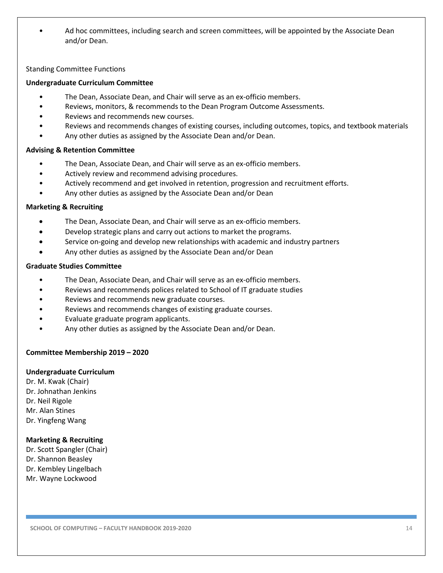• Ad hoc committees, including search and screen committees, will be appointed by the Associate Dean and/or Dean.

#### Standing Committee Functions

#### **Undergraduate Curriculum Committee**

- The Dean, Associate Dean, and Chair will serve as an ex-officio members.
- Reviews, monitors, & recommends to the Dean Program Outcome Assessments.
- Reviews and recommends new courses.
- Reviews and recommends changes of existing courses, including outcomes, topics, and textbook materials
- Any other duties as assigned by the Associate Dean and/or Dean.

#### **Advising & Retention Committee**

- The Dean, Associate Dean, and Chair will serve as an ex-officio members.
- Actively review and recommend advising procedures.
- Actively recommend and get involved in retention, progression and recruitment efforts.
- Any other duties as assigned by the Associate Dean and/or Dean

#### **Marketing & Recruiting**

- The Dean, Associate Dean, and Chair will serve as an ex-officio members.
- Develop strategic plans and carry out actions to market the programs.
- Service on-going and develop new relationships with academic and industry partners
- Any other duties as assigned by the Associate Dean and/or Dean

#### **Graduate Studies Committee**

- The Dean, Associate Dean, and Chair will serve as an ex-officio members.
- Reviews and recommends polices related to School of IT graduate studies
- Reviews and recommends new graduate courses.
- Reviews and recommends changes of existing graduate courses.
- Evaluate graduate program applicants.
- Any other duties as assigned by the Associate Dean and/or Dean.

#### **Committee Membership 2019 – 2020**

#### **Undergraduate Curriculum**

Dr. M. Kwak (Chair) Dr. Johnathan Jenkins Dr. Neil Rigole Mr. Alan Stines Dr. Yingfeng Wang

#### **Marketing & Recruiting**

Dr. Scott Spangler (Chair) Dr. Shannon Beasley Dr. Kembley Lingelbach Mr. Wayne Lockwood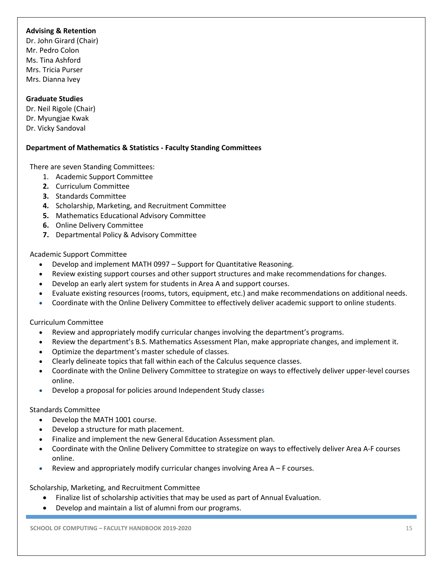# **Advising & Retention**

Dr. John Girard (Chair) Mr. Pedro Colon Ms. Tina Ashford Mrs. Tricia Purser Mrs. Dianna Ivey

# **Graduate Studies**

Dr. Neil Rigole (Chair) Dr. Myungjae Kwak Dr. Vicky Sandoval

# **Department of Mathematics & Statistics - Faculty Standing Committees**

There are seven Standing Committees:

- 1. Academic Support Committee
- **2.** Curriculum Committee
- **3.** Standards Committee
- **4.** Scholarship, Marketing, and Recruitment Committee
- **5.** Mathematics Educational Advisory Committee
- **6.** Online Delivery Committee
- **7.** Departmental Policy & Advisory Committee

#### Academic Support Committee

- Develop and implement MATH 0997 Support for Quantitative Reasoning.
- Review existing support courses and other support structures and make recommendations for changes.
- Develop an early alert system for students in Area A and support courses.
- Evaluate existing resources (rooms, tutors, equipment, etc.) and make recommendations on additional needs.
- Coordinate with the Online Delivery Committee to effectively deliver academic support to online students.

#### Curriculum Committee

- Review and appropriately modify curricular changes involving the department's programs.
- Review the department's B.S. Mathematics Assessment Plan, make appropriate changes, and implement it.
- Optimize the department's master schedule of classes.
- Clearly delineate topics that fall within each of the Calculus sequence classes.
- Coordinate with the Online Delivery Committee to strategize on ways to effectively deliver upper-level courses online.
- Develop a proposal for policies around Independent Study classes

#### Standards Committee

- Develop the MATH 1001 course.
- Develop a structure for math placement.
- Finalize and implement the new General Education Assessment plan.
- Coordinate with the Online Delivery Committee to strategize on ways to effectively deliver Area A-F courses online.
- Review and appropriately modify curricular changes involving Area  $A F$  courses.

#### Scholarship, Marketing, and Recruitment Committee

- Finalize list of scholarship activities that may be used as part of Annual Evaluation.
- Develop and maintain a list of alumni from our programs.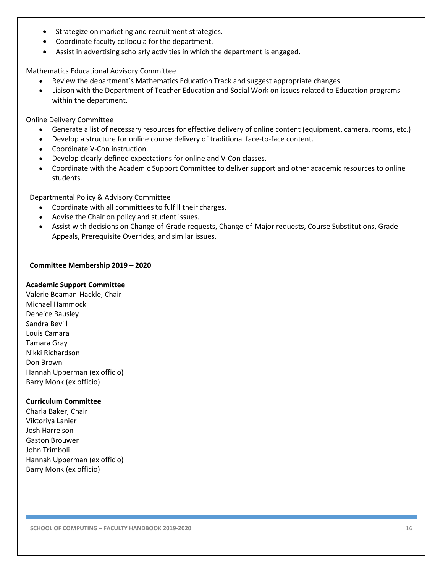- Strategize on marketing and recruitment strategies.
- Coordinate faculty colloquia for the department.
- Assist in advertising scholarly activities in which the department is engaged.

Mathematics Educational Advisory Committee

- Review the department's Mathematics Education Track and suggest appropriate changes.
- Liaison with the Department of Teacher Education and Social Work on issues related to Education programs within the department.

Online Delivery Committee

- Generate a list of necessary resources for effective delivery of online content (equipment, camera, rooms, etc.)
- Develop a structure for online course delivery of traditional face-to-face content.
- Coordinate V-Con instruction.
- Develop clearly-defined expectations for online and V-Con classes.
- Coordinate with the Academic Support Committee to deliver support and other academic resources to online students.

Departmental Policy & Advisory Committee

- Coordinate with all committees to fulfill their charges.
- Advise the Chair on policy and student issues.
- Assist with decisions on Change-of-Grade requests, Change-of-Major requests, Course Substitutions, Grade Appeals, Prerequisite Overrides, and similar issues.

# **Committee Membership 2019 – 2020**

#### **Academic Support Committee**

Valerie Beaman-Hackle, Chair Michael Hammock Deneice Bausley Sandra Bevill Louis Camara Tamara Gray Nikki Richardson Don Brown Hannah Upperman (ex officio) Barry Monk (ex officio)

# **Curriculum Committee**

Charla Baker, Chair Viktoriya Lanier Josh Harrelson Gaston Brouwer John Trimboli Hannah Upperman (ex officio) Barry Monk (ex officio)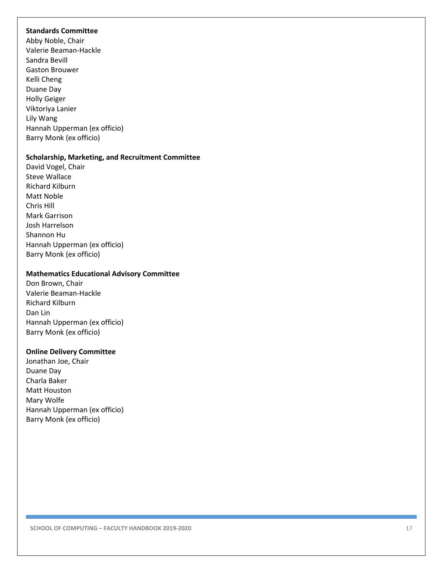#### **Standards Committee**

Abby Noble, Chair Valerie Beaman -Hackle Sandra Bevill Gaston Brouwer Kelli Cheng Duane Day Holly Geiger Viktoriya Lanier Lily Wang Hannah Upperman (ex officio) Barry Monk (ex officio)

#### **Scholarship, Marketing, and Recruitment Committee**

David Vogel, Chair Steve Wallace Richard Kilburn Matt Noble Chris Hill Mark Garrison Josh Harrelson Shannon Hu Hannah Upperman (ex officio) Barry Monk (ex officio)

#### **Mathematics Educational Advisory Committee**

Don Brown, Chair Valerie Beaman -Hackl e Richard Kilburn Dan Lin Hannah Upperman (ex officio) Barry Monk (ex officio)

#### **Online Delivery Committee**

Jonathan Joe, Chair Duane Day Charla Baker Matt Houston Mary Wolfe Hannah Upperman (ex officio) Barry Monk (ex officio)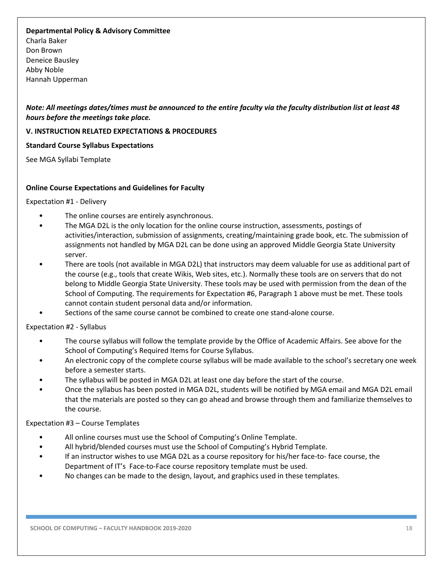#### **Departmental Policy & Advisory Committee**

Charla Baker Don Brown Deneice Bausley Abby Noble Hannah Upperman

*Note: All meetings dates/times must be announced to the entire faculty via the faculty distribution list at least 48 hours before the meetings take place.* 

#### **V. INSTRUCTION RELATED EXPECTATIONS & PROCEDURES**

#### **Standard Course Syllabus Expectations**

See MGA Syllabi Template

#### **Online Course Expectations and Guidelines for Faculty**

#### Expectation #1 - Delivery

- The online courses are entirely asynchronous.
- The MGA D2L is the only location for the online course instruction, assessments, postings of activities/interaction, submission of assignments, creating/maintaining grade book, etc. The submission of assignments not handled by MGA D2L can be done using an approved Middle Georgia State University server.
- There are tools (not available in MGA D2L) that instructors may deem valuable for use as additional part of the course (e.g., tools that create Wikis, Web sites, etc.). Normally these tools are on servers that do not belong to Middle Georgia State University. These tools may be used with permission from the dean of the School of Computing. The requirements for Expectation #6, Paragraph 1 above must be met. These tools cannot contain student personal data and/or information.
- Sections of the same course cannot be combined to create one stand-alone course.

Expectation #2 - Syllabus

- The course syllabus will follow the template provide by the Office of Academic Affairs. See above for the School of Computing's Required Items for Course Syllabus.
- An electronic copy of the complete course syllabus will be made available to the school's secretary one week before a semester starts.
- The syllabus will be posted in MGA D2L at least one day before the start of the course.
- Once the syllabus has been posted in MGA D2L, students will be notified by MGA email and MGA D2L email that the materials are posted so they can go ahead and browse through them and familiarize themselves to the course.

Expectation #3 – Course Templates

- All online courses must use the School of Computing's Online Template.
- All hybrid/blended courses must use the School of Computing's Hybrid Template.
- If an instructor wishes to use MGA D2L as a course repository for his/her face-to-face course, the Department of IT's Face-to-Face course repository template must be used.
- No changes can be made to the design, layout, and graphics used in these templates.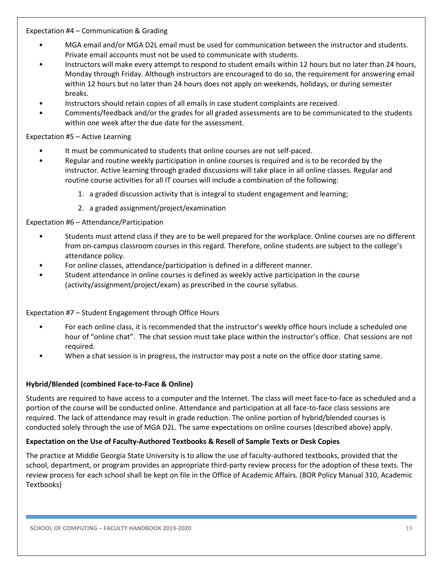# Expectation #4 – Communication & Grading

- MGA email and/or MGA D2L email must be used for communication between the instructor and students. Private email accounts must not be used to communicate with students.
- Instructors will make every attempt to respond to student emails within 12 hours but no later than 24 hours, Monday through Friday. Although instructors are encouraged to do so, the requirement for answering email within 12 hours but no later than 24 hours does not apply on weekends, holidays, or during semester breaks.
- Instructors should retain copies of all emails in case student complaints are received.
- Comments/feedback and/or the grades for all graded assessments are to be communicated to the students within one week after the due date for the assessment.

# Expectation #5 – Active Learning

- It must be communicated to students that online courses are not self-paced.
- Regular and routine weekly participation in online courses is required and is to be recorded by the instructor. Active learning through graded discussions will take place in all online classes. Regular and routine course activities for all IT courses will include a combination of the following:
	- 1. a graded discussion activity that is integral to student engagement and learning;
	- 2. a graded assignment/project/examination

# Expectation #6 – Attendance/Participation

- Students must attend class if they are to be well prepared for the workplace. Online courses are no different from on-campus classroom courses in this regard. Therefore, online students are subject to the college's attendance policy.
- For online classes, attendance/participation is defined in a different manner.
- Student attendance in online courses is defined as weekly active participation in the course (activity/assignment/project/exam) as prescribed in the course syllabus.

# Expectation #7 – Student Engagement through Office Hours

- For each online class, it is recommended that the instructor's weekly office hours include a scheduled one hour of "online chat". The chat session must take place within the instructor's office. Chat sessions are not required.
- When a chat session is in progress, the instructor may post a note on the office door stating same.

# **Hybrid/Blended (combined Face-to-Face & Online)**

Students are required to have access to a computer and the Internet. The class will meet face-to-face as scheduled and a portion of the course will be conducted online. Attendance and participation at all face-to-face class sessions are required. The lack of attendance may result in grade reduction. The online portion of hybrid/blended courses is conducted solely through the use of MGA D2L. The same expectations on online courses (described above) apply.

#### **Expectation on the Use of Faculty-Authored Textbooks & Resell of Sample Texts or Desk Copies**

The practice at Middle Georgia State University is to allow the use of faculty-authored textbooks, provided that the school, department, or program provides an appropriate third-party review process for the adoption of these texts. The review process for each school shall be kept on file in the Office of Academic Affairs. (BOR Policy Manual 310, Academic Textbooks)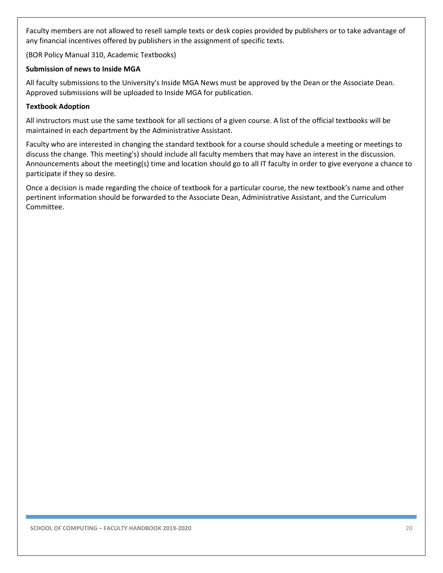Faculty members are not allowed to resell sample texts or desk copies provided by publishers or to take advantage of any financial incentives offered by publishers in the assignment of specific texts.

(BOR Policy Manual 310, Academic Textbooks)

#### **Submission of news to Inside MGA**

All faculty submissions to the University's Inside MGA News must be approved by the Dean or the Associate Dean. Approved submissions will be uploaded to Inside MGA for publication.

#### **Textbook Adoption**

All instructors must use the same textbook for all sections of a given course. A list of the official textbooks will be maintained in each department by the Administrative Assistant.

Faculty who are interested in changing the standard textbook for a course should schedule a meeting or meetings to discuss the change. This meeting's) should include all faculty members that may have an interest in the discussion. Announcements about the meeting(s) time and location should go to all IT faculty in order to give everyone a chance to participate if they so desire.

Once a decision is made regarding the choice of textbook for a particular course, the new textbook's name and other pertinent information should be forwarded to the Associate Dean, Administrative Assistant, and the Curriculum Committee.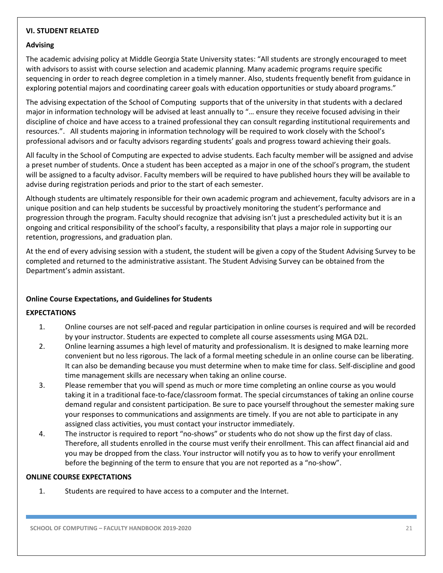# **VI. STUDENT RELATED**

#### **Advising**

The academic advising policy at Middle Georgia State University states: "All students are strongly encouraged to meet with advisors to assist with course selection and academic planning. Many academic programs require specific sequencing in order to reach degree completion in a timely manner. Also, students frequently benefit from guidance in exploring potential majors and coordinating career goals with education opportunities or study aboard programs."

The advising expectation of the School of Computing supports that of the university in that students with a declared major in information technology will be advised at least annually to "… ensure they receive focused advising in their discipline of choice and have access to a trained professional they can consult regarding institutional requirements and resources.". All students majoring in information technology will be required to work closely with the School's professional advisors and or faculty advisors regarding students' goals and progress toward achieving their goals.

All faculty in the School of Computing are expected to advise students. Each faculty member will be assigned and advise a preset number of students. Once a student has been accepted as a major in one of the school's program, the student will be assigned to a faculty advisor. Faculty members will be required to have published hours they will be available to advise during registration periods and prior to the start of each semester.

Although students are ultimately responsible for their own academic program and achievement, faculty advisors are in a unique position and can help students be successful by proactively monitoring the student's performance and progression through the program. Faculty should recognize that advising isn't just a prescheduled activity but it is an ongoing and critical responsibility of the school's faculty, a responsibility that plays a major role in supporting our retention, progressions, and graduation plan.

At the end of every advising session with a student, the student will be given a copy of the Student Advising Survey to be completed and returned to the administrative assistant. The Student Advising Survey can be obtained from the Department's admin assistant.

#### **Online Course Expectations, and Guidelines for Students**

#### **EXPECTATIONS**

- 1. Online courses are not self-paced and regular participation in online courses is required and will be recorded by your instructor. Students are expected to complete all course assessments using MGA D2L.
- 2. Online learning assumes a high level of maturity and professionalism. It is designed to make learning more convenient but no less rigorous. The lack of a formal meeting schedule in an online course can be liberating. It can also be demanding because you must determine when to make time for class. Self-discipline and good time management skills are necessary when taking an online course.
- 3. Please remember that you will spend as much or more time completing an online course as you would taking it in a traditional face-to-face/classroom format. The special circumstances of taking an online course demand regular and consistent participation. Be sure to pace yourself throughout the semester making sure your responses to communications and assignments are timely. If you are not able to participate in any assigned class activities, you must contact your instructor immediately.
- 4. The instructor is required to report "no-shows" or students who do not show up the first day of class. Therefore, all students enrolled in the course must verify their enrollment. This can affect financial aid and you may be dropped from the class. Your instructor will notify you as to how to verify your enrollment before the beginning of the term to ensure that you are not reported as a "no-show".

# **ONLINE COURSE EXPECTATIONS**

1. Students are required to have access to a computer and the Internet.